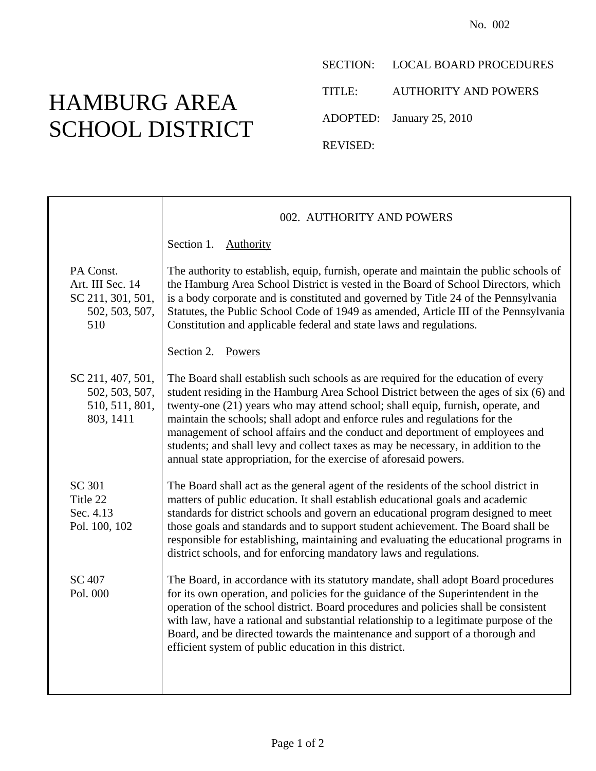## HAMBURG AREA SCHOOL DISTRICT

Т

SECTION: LOCAL BOARD PROCEDURES

TITLE: AUTHORITY AND POWERS

ADOPTED: January 25, 2010

REVISED:

|                                                                             | 002. AUTHORITY AND POWERS                                                                                                                                                                                                                                                                                                                                                                                                                                                                                                                                                              |
|-----------------------------------------------------------------------------|----------------------------------------------------------------------------------------------------------------------------------------------------------------------------------------------------------------------------------------------------------------------------------------------------------------------------------------------------------------------------------------------------------------------------------------------------------------------------------------------------------------------------------------------------------------------------------------|
|                                                                             | Section 1.<br>Authority                                                                                                                                                                                                                                                                                                                                                                                                                                                                                                                                                                |
| PA Const.<br>Art. III Sec. 14<br>SC 211, 301, 501,<br>502, 503, 507,<br>510 | The authority to establish, equip, furnish, operate and maintain the public schools of<br>the Hamburg Area School District is vested in the Board of School Directors, which<br>is a body corporate and is constituted and governed by Title 24 of the Pennsylvania<br>Statutes, the Public School Code of 1949 as amended, Article III of the Pennsylvania<br>Constitution and applicable federal and state laws and regulations.                                                                                                                                                     |
|                                                                             | Section 2.<br>Powers                                                                                                                                                                                                                                                                                                                                                                                                                                                                                                                                                                   |
| SC 211, 407, 501,<br>502, 503, 507,<br>510, 511, 801,<br>803, 1411          | The Board shall establish such schools as are required for the education of every<br>student residing in the Hamburg Area School District between the ages of six (6) and<br>twenty-one (21) years who may attend school; shall equip, furnish, operate, and<br>maintain the schools; shall adopt and enforce rules and regulations for the<br>management of school affairs and the conduct and deportment of employees and<br>students; and shall levy and collect taxes as may be necessary, in addition to the<br>annual state appropriation, for the exercise of aforesaid powers. |
| SC 301<br>Title 22<br>Sec. 4.13<br>Pol. 100, 102                            | The Board shall act as the general agent of the residents of the school district in<br>matters of public education. It shall establish educational goals and academic<br>standards for district schools and govern an educational program designed to meet<br>those goals and standards and to support student achievement. The Board shall be<br>responsible for establishing, maintaining and evaluating the educational programs in<br>district schools, and for enforcing mandatory laws and regulations.                                                                          |
| SC 407<br>Pol. 000                                                          | The Board, in accordance with its statutory mandate, shall adopt Board procedures<br>for its own operation, and policies for the guidance of the Superintendent in the<br>operation of the school district. Board procedures and policies shall be consistent<br>with law, have a rational and substantial relationship to a legitimate purpose of the<br>Board, and be directed towards the maintenance and support of a thorough and<br>efficient system of public education in this district.                                                                                       |
|                                                                             |                                                                                                                                                                                                                                                                                                                                                                                                                                                                                                                                                                                        |